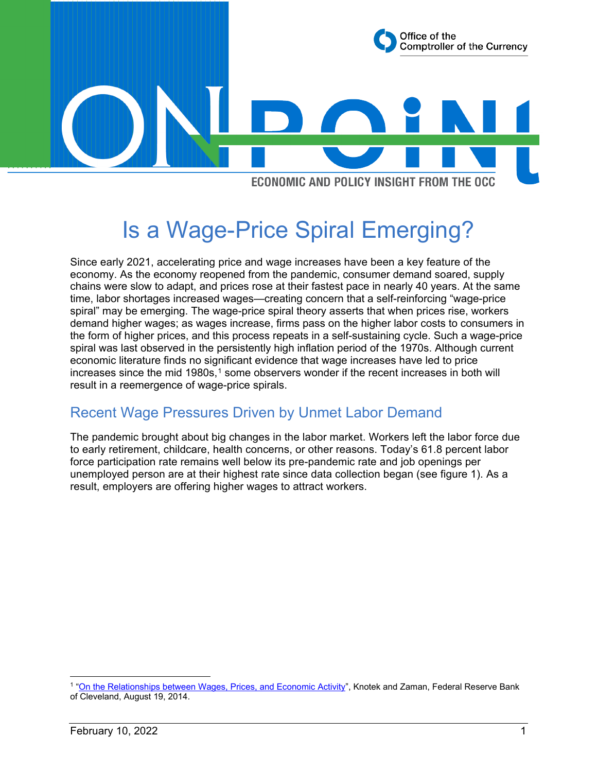

# Is a Wage-Price Spiral Emerging?

Since early 2021, accelerating price and wage increases have been a key feature of the economy. As the economy reopened from the pandemic, consumer demand soared, supply chains were slow to adapt, and prices rose at their fastest pace in nearly 40 years. At the same time, labor shortages increased wages—creating concern that a self-reinforcing "wage-price spiral" may be emerging. The wage-price spiral theory asserts that when prices rise, workers demand higher wages; as wages increase, firms pass on the higher labor costs to consumers in the form of higher prices, and this process repeats in a self-sustaining cycle. Such a wage-price spiral was last observed in the persistently high inflation period of the 1970s. Although current economic literature finds no significant evidence that wage increases have led to price increases since the mid [1](#page-0-0)980s,<sup>1</sup> some observers wonder if the recent increases in both will result in a reemergence of wage-price spirals.

### Recent Wage Pressures Driven by Unmet Labor Demand

The pandemic brought about big changes in the labor market. Workers left the labor force due to early retirement, childcare, health concerns, or other reasons. Today's 61.8 percent labor force participation rate remains well below its pre-pandemic rate and job openings per unemployed person are at their highest rate since data collection began (see figure 1). As a result, employers are offering higher wages to attract workers.

<span id="page-0-0"></span><sup>&</sup>lt;sup>1</sup> ["On the Relationships between Wages, Prices, and Economic Activity"](https://www.clevelandfed.org/newsroom-and-events/publications/economic-commentary/2014-economic-commentaries/ec-201414-on-the-relationships-between-wages-prices-and-economic-activity.aspx#:%7E:text=On%20the%20Relationships%20between%20Wages%2C%20Prices%2C%20and%20Economic%20Activity,-08.19.14&text=Subdued%20wage%20growth%20has%20been,have%20contributed%20to%20rising%20inequality.), Knotek and Zaman, Federal Reserve Bank of Cleveland, August 19, 2014.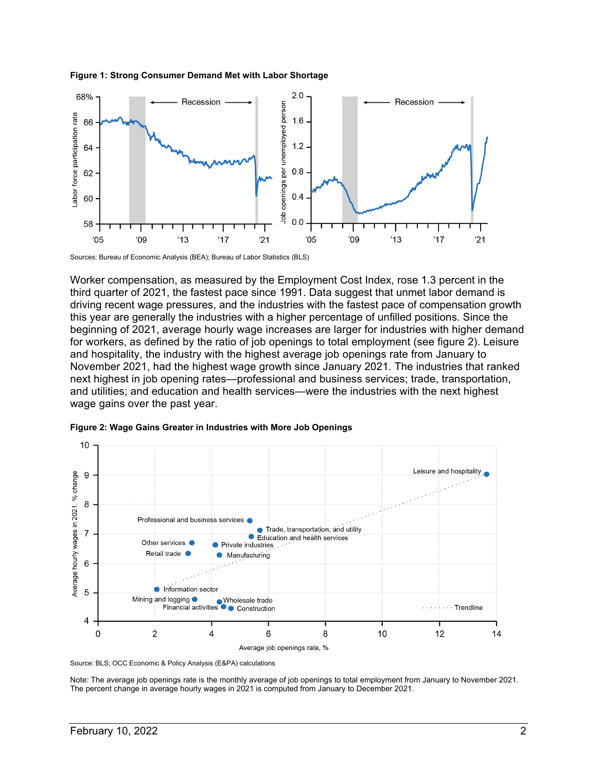



Sources: Bureau of Economic Analysis (BEA); Bureau of Labor Statistics (BLS)

Worker compensation, as measured by the Employment Cost Index, rose 1.3 percent in the third quarter of 2021, the fastest pace since 1991. Data suggest that unmet labor demand is driving recent wage pressures, and the industries with the fastest pace of compensation growth this year are generally the industries with a higher percentage of unfilled positions. Since the beginning of 2021, average hourly wage increases are larger for industries with higher demand for workers, as defined by the ratio of job openings to total employment (see figure 2). Leisure and hospitality, the industry with the highest average job openings rate from January to November 2021, had the highest wage growth since January 2021. The industries that ranked next highest in job opening rates—professional and business services; trade, transportation, and utilities; and education and health services—were the industries with the next highest wage gains over the past year.



**Figure 2: Wage Gains Greater in Industries with More Job Openings** 

Source: BLS; OCC Economic & Policy Analysis (E&PA) calculations

Note: The average job openings rate is the monthly average of job openings to total employment from January to November 2021. The percent change in average hourly wages in 2021 is computed from January to December 2021.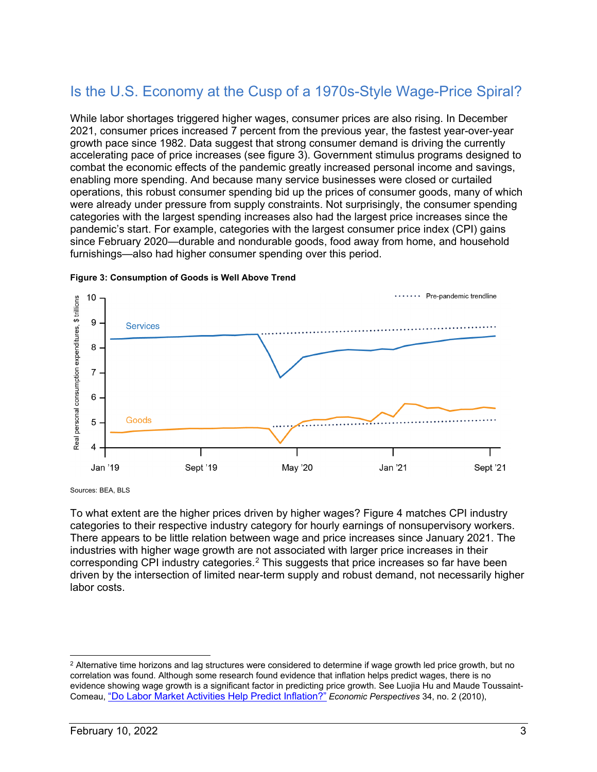## Is the U.S. Economy at the Cusp of a 1970s-Style Wage-Price Spiral?

While labor shortages triggered higher wages, consumer prices are also rising. In December 2021, consumer prices increased 7 percent from the previous year, the fastest year-over-year growth pace since 1982. Data suggest that strong consumer demand is driving the currently accelerating pace of price increases (see figure 3). Government stimulus programs designed to combat the economic effects of the pandemic greatly increased personal income and savings, enabling more spending. And because many service businesses were closed or curtailed operations, this robust consumer spending bid up the prices of consumer goods, many of which were already under pressure from supply constraints. Not surprisingly, the consumer spending categories with the largest spending increases also had the largest price increases since the pandemic's start. For example, categories with the largest consumer price index (CPI) gains since February 2020—durable and nondurable goods, food away from home, and household furnishings—also had higher consumer spending over this period.



#### **Figure 3: Consumption of Goods is Well Above Trend**

Sources: BEA, BLS

To what extent are the higher prices driven by higher wages? Figure 4 matches CPI industry categories to their respective industry category for hourly earnings of nonsupervisory workers. There appears to be little relation between wage and price increases since January 2021. The industries with higher wage growth are not associated with larger price increases in their corresponding CPI industry categories.<sup>[2](#page-2-0)</sup> This suggests that price increases so far have been driven by the intersection of limited near-term supply and robust demand, not necessarily higher labor costs.

<span id="page-2-0"></span> $2$  Alternative time horizons and lag structures were considered to determine if wage growth led price growth, but no correlation was found. Although some research found evidence that inflation helps predict wages, there is no evidence showing wage growth is a significant factor in predicting price growth. See Luojia Hu and Maude Toussaint-Comeau, ["Do Labor Market Activities Help Predict Inflation?"](https://www.chicagofed.org/publications/economic-perspectives/2010/2q-hu-toussaint-comeau) *Economic Perspectives* 34, no. 2 (2010),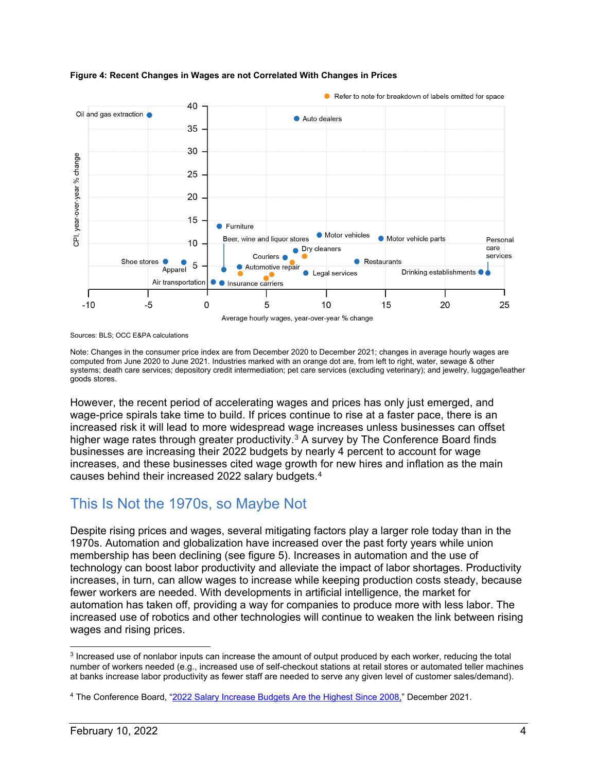

**Figure 4: Recent Changes in Wages are not Correlated With Changes in Prices** 

Sources: BLS; OCC E&PA calculations

Note: Changes in the consumer price index are from December 2020 to December 2021; changes in average hourly wages are computed from June 2020 to June 2021. Industries marked with an orange dot are, from left to right, water, sewage & other systems; death care services; depository credit intermediation; pet care services (excluding veterinary); and jewelry, luggage/leather goods stores.

However, the recent period of accelerating wages and prices has only just emerged, and wage-price spirals take time to build. If prices continue to rise at a faster pace, there is an increased risk it will lead to more widespread wage increases unless businesses can offset higher wage rates through greater productivity.<sup>[3](#page-3-0)</sup> A survey by The Conference Board finds businesses are increasing their 2022 budgets by nearly 4 percent to account for wage increases, and these businesses cited wage growth for new hires and inflation as the main causes behind their increased 2022 salary budgets.[4](#page-3-1)

### This Is Not the 1970s, so Maybe Not

Despite rising prices and wages, several mitigating factors play a larger role today than in the 1970s. Automation and globalization have increased over the past forty years while union membership has been declining (see figure 5). Increases in automation and the use of technology can boost labor productivity and alleviate the impact of labor shortages. Productivity increases, in turn, can allow wages to increase while keeping production costs steady, because fewer workers are needed. With developments in artificial intelligence, the market for automation has taken off, providing a way for companies to produce more with less labor. The increased use of robotics and other technologies will continue to weaken the link between rising wages and rising prices.

<span id="page-3-0"></span><sup>3</sup> Increased use of nonlabor inputs can increase the amount of output produced by each worker, reducing the total number of workers needed (e.g., increased use of self-checkout stations at retail stores or automated teller machines at banks increase labor productivity as fewer staff are needed to serve any given level of customer sales/demand).

<span id="page-3-1"></span><sup>4</sup> The Conference Board, ["2022 Salary Increase Budgets Are the Highest Since 2008,"](https://www.conference-board.org/blog/labor-markets/2022-salary-increase-budgets?blogid=7) December 2021.